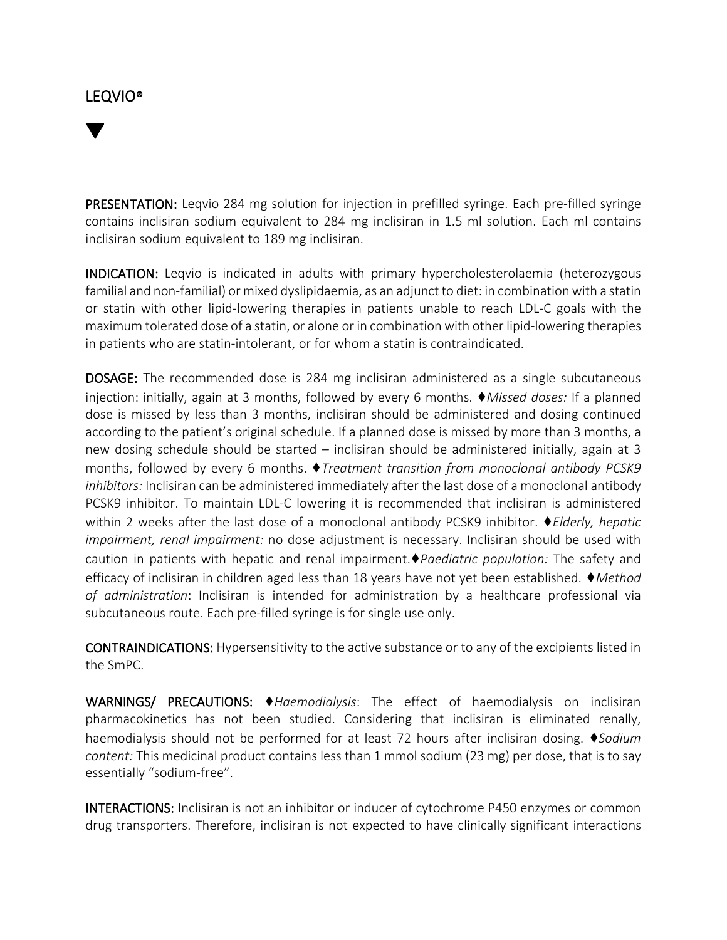## LEQVIO®

PRESENTATION: Leqvio 284 mg solution for injection in prefilled syringe. Each pre-filled syringe contains inclisiran sodium equivalent to 284 mg inclisiran in 1.5 ml solution. Each ml contains inclisiran sodium equivalent to 189 mg inclisiran.

INDICATION: Leqvio is indicated in adults with primary hypercholesterolaemia (heterozygous familial and non-familial) or mixed dyslipidaemia, as an adjunct to diet: in combination with a statin or statin with other lipid-lowering therapies in patients unable to reach LDL-C goals with the maximum tolerated dose of a statin, or alone or in combination with other lipid-lowering therapies in patients who are statin-intolerant, or for whom a statin is contraindicated.

DOSAGE: The recommended dose is 284 mg inclisiran administered as a single subcutaneous injection: initially, again at 3 months, followed by every 6 months. ♦*Missed doses:* If a planned dose is missed by less than 3 months, inclisiran should be administered and dosing continued according to the patient's original schedule. If a planned dose is missed by more than 3 months, a new dosing schedule should be started – inclisiran should be administered initially, again at 3 months, followed by every 6 months. ♦*Treatment transition from monoclonal antibody PCSK9 inhibitors:* Inclisiran can be administered immediately after the last dose of a monoclonal antibody PCSK9 inhibitor. To maintain LDL-C lowering it is recommended that inclisiran is administered within 2 weeks after the last dose of a monoclonal antibody PCSK9 inhibitor. ♦*Elderly, hepatic impairment, renal impairment:* no dose adjustment is necessary. Inclisiran should be used with caution in patients with hepatic and renal impairment.♦*Paediatric population:* The safety and efficacy of inclisiran in children aged less than 18 years have not yet been established. ♦*Method of administration*: Inclisiran is intended for administration by a healthcare professional via subcutaneous route. Each pre-filled syringe is for single use only.

CONTRAINDICATIONS: Hypersensitivity to the active substance or to any of the excipients listed in the SmPC.

WARNINGS/ PRECAUTIONS: ♦*Haemodialysis*: The effect of haemodialysis on inclisiran pharmacokinetics has not been studied. Considering that inclisiran is eliminated renally, haemodialysis should not be performed for at least 72 hours after inclisiran dosing. ♦*Sodium content:* This medicinal product contains less than 1 mmol sodium (23 mg) per dose, that is to say essentially "sodium-free".

INTERACTIONS: Inclisiran is not an inhibitor or inducer of cytochrome P450 enzymes or common drug transporters. Therefore, inclisiran is not expected to have clinically significant interactions